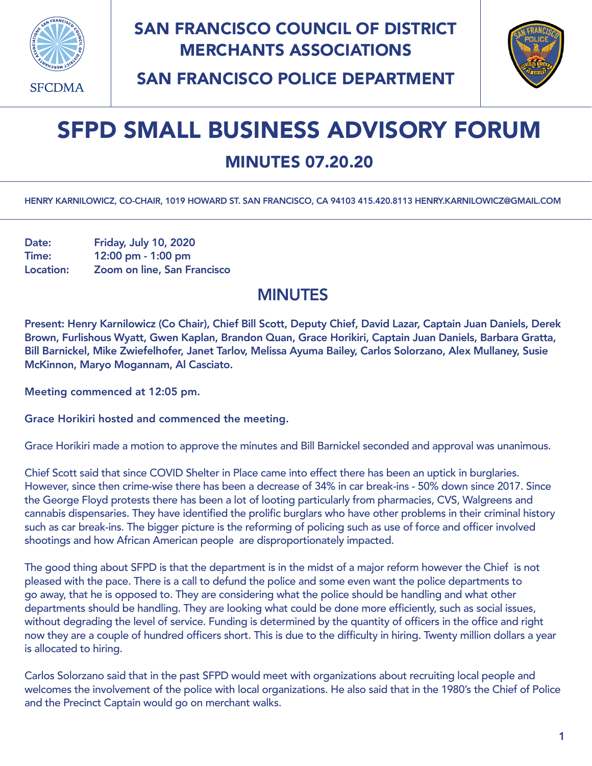

## SAN FRANCISCO COUNCIL OF DISTRICT MERCHANTS ASSOCIATIONS



SAN FRANCISCO POLICE DEPARTMENT

## SFPD SMALL BUSINESS ADVISORY FORUM

## MINUTES 07.20.20

HENRY KARNILOWICZ, CO-CHAIR, 1019 HOWARD ST. SAN FRANCISCO, CA 94103 415.420.8113 [HENRY.KARNILOWICZ@GMAIL.COM](mailto:henry.karnilowicz@gmail.com)

Date: Friday, July 10, 2020 Time: 12:00 pm - 1:00 pm Location: Zoom on line, San Francisco

## MINUTES

Present: Henry Karnilowicz (Co Chair), Chief Bill Scott, Deputy Chief, David Lazar, Captain Juan Daniels, Derek Brown, Furlishous Wyatt, Gwen Kaplan, Brandon Quan, Grace Horikiri, Captain Juan Daniels, Barbara Gratta, Bill Barnickel, Mike Zwiefelhofer, Janet Tarlov, Melissa Ayuma Bailey, Carlos Solorzano, Alex Mullaney, Susie McKinnon, Maryo Mogannam, Al Casciato.

Meeting commenced at 12:05 pm.

Grace Horikiri hosted and commenced the meeting.

Grace Horikiri made a motion to approve the minutes and Bill Barnickel seconded and approval was unanimous.

Chief Scott said that since COVID Shelter in Place came into effect there has been an uptick in burglaries. However, since then crime-wise there has been a decrease of 34% in car break-ins - 50% down since 2017. Since the George Floyd protests there has been a lot of looting particularly from pharmacies, CVS, Walgreens and cannabis dispensaries. They have identified the prolific burglars who have other problems in their criminal history such as car break-ins. The bigger picture is the reforming of policing such as use of force and officer involved shootings and how African American people are disproportionately impacted.

The good thing about SFPD is that the department is in the midst of a major reform however the Chief is not pleased with the pace. There is a call to defund the police and some even want the police departments to go away, that he is opposed to. They are considering what the police should be handling and what other departments should be handling. They are looking what could be done more efficiently, such as social issues, without degrading the level of service. Funding is determined by the quantity of officers in the office and right now they are a couple of hundred officers short. This is due to the difficulty in hiring. Twenty million dollars a year is allocated to hiring.

Carlos Solorzano said that in the past SFPD would meet with organizations about recruiting local people and welcomes the involvement of the police with local organizations. He also said that in the 1980's the Chief of Police and the Precinct Captain would go on merchant walks.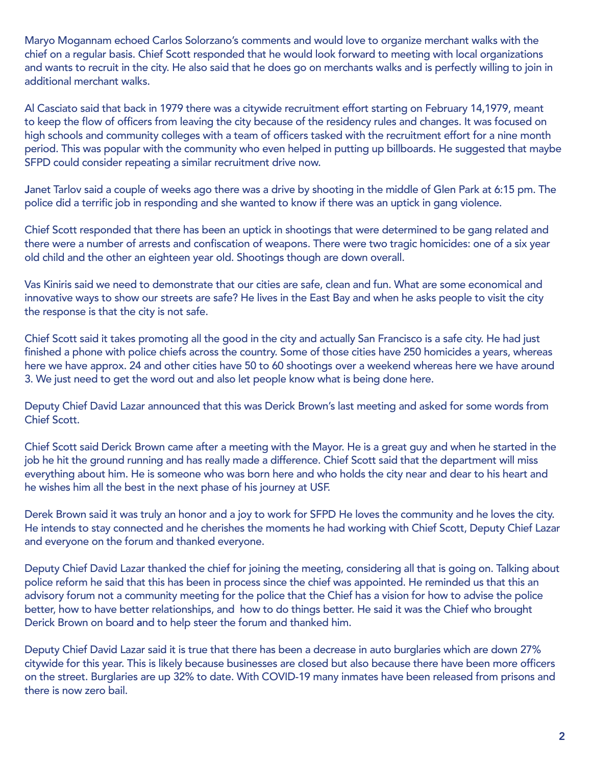Maryo Mogannam echoed Carlos Solorzano's comments and would love to organize merchant walks with the chief on a regular basis. Chief Scott responded that he would look forward to meeting with local organizations and wants to recruit in the city. He also said that he does go on merchants walks and is perfectly willing to join in additional merchant walks.

Al Casciato said that back in 1979 there was a citywide recruitment effort starting on February 14,1979, meant to keep the flow of officers from leaving the city because of the residency rules and changes. It was focused on high schools and community colleges with a team of officers tasked with the recruitment effort for a nine month period. This was popular with the community who even helped in putting up billboards. He suggested that maybe SFPD could consider repeating a similar recruitment drive now.

Janet Tarlov said a couple of weeks ago there was a drive by shooting in the middle of Glen Park at 6:15 pm. The police did a terrific job in responding and she wanted to know if there was an uptick in gang violence.

Chief Scott responded that there has been an uptick in shootings that were determined to be gang related and there were a number of arrests and confiscation of weapons. There were two tragic homicides: one of a six year old child and the other an eighteen year old. Shootings though are down overall.

Vas Kiniris said we need to demonstrate that our cities are safe, clean and fun. What are some economical and innovative ways to show our streets are safe? He lives in the East Bay and when he asks people to visit the city the response is that the city is not safe.

Chief Scott said it takes promoting all the good in the city and actually San Francisco is a safe city. He had just finished a phone with police chiefs across the country. Some of those cities have 250 homicides a years, whereas here we have approx. 24 and other cities have 50 to 60 shootings over a weekend whereas here we have around 3. We just need to get the word out and also let people know what is being done here.

Deputy Chief David Lazar announced that this was Derick Brown's last meeting and asked for some words from Chief Scott.

Chief Scott said Derick Brown came after a meeting with the Mayor. He is a great guy and when he started in the job he hit the ground running and has really made a difference. Chief Scott said that the department will miss everything about him. He is someone who was born here and who holds the city near and dear to his heart and he wishes him all the best in the next phase of his journey at USF.

Derek Brown said it was truly an honor and a joy to work for SFPD He loves the community and he loves the city. He intends to stay connected and he cherishes the moments he had working with Chief Scott, Deputy Chief Lazar and everyone on the forum and thanked everyone.

Deputy Chief David Lazar thanked the chief for joining the meeting, considering all that is going on. Talking about police reform he said that this has been in process since the chief was appointed. He reminded us that this an advisory forum not a community meeting for the police that the Chief has a vision for how to advise the police better, how to have better relationships, and how to do things better. He said it was the Chief who brought Derick Brown on board and to help steer the forum and thanked him.

Deputy Chief David Lazar said it is true that there has been a decrease in auto burglaries which are down 27% citywide for this year. This is likely because businesses are closed but also because there have been more officers on the street. Burglaries are up 32% to date. With COVID-19 many inmates have been released from prisons and there is now zero bail.